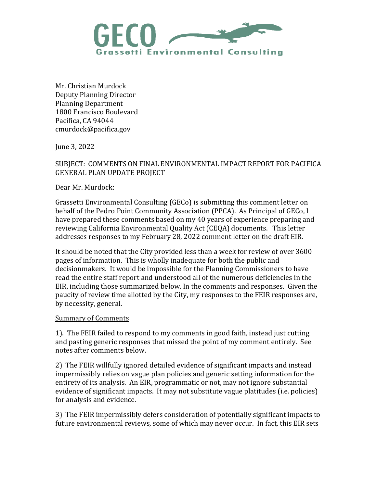

Mr. Christian Murdock Deputy Planning Director Planning Department 1800 Francisco Boulevard Pacifica, CA 94044 cmurdock@pacifica.gov

June 3, 2022

### SUBJECT: COMMENTS ON FINAL ENVIRONMENTAL IMPACT REPORT FOR PACIFICA GENERAL PLAN UPDATE PROJECT

Dear Mr. Murdock:

Grassetti Environmental Consulting (GECo) is submitting this comment letter on behalf of the Pedro Point Community Association (PPCA). As Principal of GECo, I have prepared these comments based on my 40 years of experience preparing and reviewing California Environmental Quality Act (CEQA) documents. This letter addresses responses to my February 28, 2022 comment letter on the draft EIR.

It should be noted that the City provided less than a week for review of over 3600 pages of information. This is wholly inadequate for both the public and decisionmakers. It would be impossible for the Planning Commissioners to have read the entire staff report and understood all of the numerous deficiencies in the EIR, including those summarized below. In the comments and responses. Given the paucity of review time allotted by the City, my responses to the FEIR responses are, by necessity, general.

#### Summary of Comments

1). The FEIR failed to respond to my comments in good faith, instead just cutting and pasting generic responses that missed the point of my comment entirely. See notes after comments below.

2) The FEIR willfully ignored detailed evidence of significant impacts and instead impermissibly relies on vague plan policies and generic setting information for the entirety of its analysis. An EIR, programmatic or not, may not ignore substantial evidence of significant impacts. It may not substitute vague platitudes (i.e. policies) for analysis and evidence.

3) The FEIR impermissibly defers consideration of potentially significant impacts to future environmental reviews, some of which may never occur. In fact, this EIR sets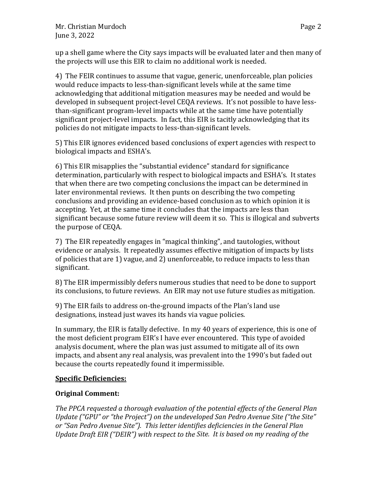up a shell game where the City says impacts will be evaluated later and then many of the projects will use this EIR to claim no additional work is needed.

4) The FEIR continues to assume that vague, generic, unenforceable, plan policies would reduce impacts to less-than-significant levels while at the same time acknowledging that additional mitigation measures may be needed and would be developed in subsequent project-level CEQA reviews. It's not possible to have lessthan-significant program-level impacts while at the same time have potentially significant project-level impacts. In fact, this EIR is tacitly acknowledging that its policies do not mitigate impacts to less-than-significant levels.

5) This EIR ignores evidenced based conclusions of expert agencies with respect to biological impacts and ESHA's.

6) This EIR misapplies the "substantial evidence" standard for significance determination, particularly with respect to biological impacts and ESHA's. It states that when there are two competing conclusions the impact can be determined in later environmental reviews. It then punts on describing the two competing conclusions and providing an evidence-based conclusion as to which opinion it is accepting. Yet, at the same time it concludes that the impacts are less than significant because some future review will deem it so. This is illogical and subverts the purpose of CEQA.

7) The EIR repeatedly engages in "magical thinking", and tautologies, without evidence or analysis. It repeatedly assumes effective mitigation of impacts by lists of policies that are 1) vague, and 2) unenforceable, to reduce impacts to less than significant.

8) The EIR impermissibly defers numerous studies that need to be done to support its conclusions, to future reviews. An EIR may not use future studies as mitigation.

9) The EIR fails to address on-the-ground impacts of the Plan's land use designations, instead just waves its hands via vague policies.

In summary, the EIR is fatally defective. In my 40 years of experience, this is one of the most deficient program EIR's I have ever encountered. This type of avoided analysis document, where the plan was just assumed to mitigate all of its own impacts, and absent any real analysis, was prevalent into the 1990's but faded out because the courts repeatedly found it impermissible.

# **Specific Deficiencies:**

# **Original Comment:**

*The PPCA requested a thorough evaluation of the potential effects of the General Plan Update ("GPU" or "the Project") on the undeveloped San Pedro Avenue Site ("the Site" or "San Pedro Avenue Site"). This letter identifies deficiencies in the General Plan Update Draft EIR ("DEIR") with respect to the Site. It is based on my reading of the*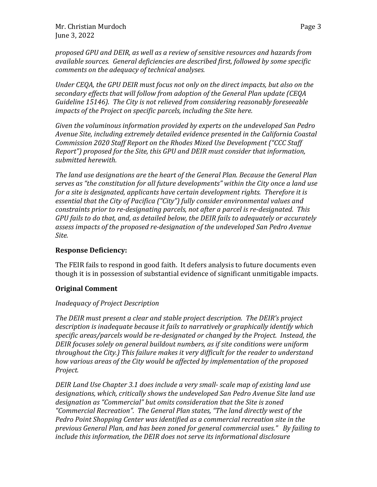*proposed GPU and DEIR, as well as a review of sensitive resources and hazards from available sources. General deficiencies are described first, followed by some specific comments on the adequacy of technical analyses.*

*Under CEQA, the GPU DEIR must focus not only on the direct impacts, but also on the secondary effects that will follow from adoption of the General Plan update (CEQA Guideline 15146). The City is not relieved from considering reasonably foreseeable impacts of the Project on specific parcels, including the Site here.* 

*Given the voluminous information provided by experts on the undeveloped San Pedro Avenue Site, including extremely detailed evidence presented in the California Coastal Commission 2020 Staff Report on the Rhodes Mixed Use Development ("CCC Staff Report") proposed for the Site, this GPU and DEIR must consider that information, submitted herewith.*

*The land use designations are the heart of the General Plan. Because the General Plan serves as "the constitution for all future developments" within the City once a land use for a site is designated, applicants have certain development rights. Therefore it is essential that the City of Pacifica ("City") fully consider environmental values and constraints prior to re‐designating parcels, not after a parcel is re‐designated. This GPU fails to do that, and, as detailed below, the DEIR fails to adequately or accurately assess impacts of the proposed re‐designation of the undeveloped San Pedro Avenue Site.* 

# **Response Deficiency:**

The FEIR fails to respond in good faith. It defers analysis to future documents even though it is in possession of substantial evidence of significant unmitigable impacts.

# **Original Comment**

#### *Inadequacy of Project Description*

*The DEIR must present a clear and stable project description. The DEIR's project description is inadequate because it fails to narratively or graphically identify which specific areas/parcels would be re‐designated or changed by the Project. Instead, the DEIR focuses solely on general buildout numbers, as if site conditions were uniform throughout the City.) This failure makes it very difficult for the reader to understand how various areas of the City would be affected by implementation of the proposed Project.* 

*DEIR Land Use Chapter 3.1 does include a very small‐ scale map of existing land use designations, which, critically shows the undeveloped San Pedro Avenue Site land use designation as "Commercial" but omits consideration that the Site is zoned "Commercial Recreation". The General Plan states, "The land directly west of the Pedro Point Shopping Center was identified as a commercial recreation site in the previous General Plan, and has been zoned for general commercial uses." By failing to include this information, the DEIR does not serve its informational disclosure*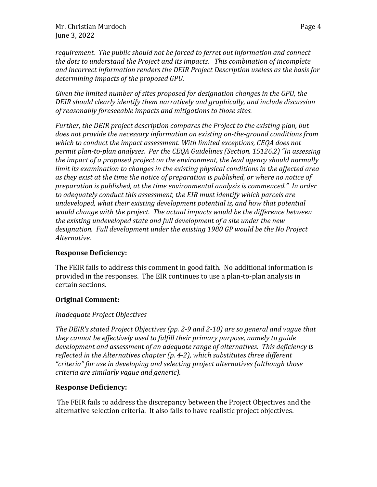*requirement. The public should not be forced to ferret out information and connect the dots to understand the Project and its impacts. This combination of incomplete and incorrect information renders the DEIR Project Description useless as the basis for determining impacts of the proposed GPU.* 

*Given the limited number of sites proposed for designation changes in the GPU, the DEIR should clearly identify them narratively and graphically, and include discussion of reasonably foreseeable impacts and mitigations to those sites.* 

*Further, the DEIR project description compares the Project to the existing plan, but does not provide the necessary information on existing on‐the‐ground conditions from which to conduct the impact assessment. With limited exceptions, CEQA does not permit plan‐to‐plan analyses. Per the CEQA Guidelines (Section. 15126.2) "In assessing the impact of a proposed project on the environment, the lead agency should normally limit its examination to changes in the existing physical conditions in the affected area as they exist at the time the notice of preparation is published, or where no notice of preparation is published, at the time environmental analysis is commenced." In order to adequately conduct this assessment, the EIR must identify which parcels are undeveloped, what their existing development potential is, and how that potential would change with the project. The actual impacts would be the difference between the existing undeveloped state and full development of a site under the new designation. Full development under the existing 1980 GP would be the No Project Alternative.* 

# **Response Deficiency:**

The FEIR fails to address this comment in good faith. No additional information is provided in the responses. The EIR continues to use a plan-to-plan analysis in certain sections.

# **Original Comment:**

#### *Inadequate Project Objectives*

*The DEIR's stated Project Objectives (pp. 2‐9 and 2‐10) are so general and vague that they cannot be effectively used to fulfill their primary purpose, namely to guide development and assessment of an adequate range of alternatives. This deficiency is reflected in the Alternatives chapter (p. 4‐2), which substitutes three different "criteria" for use in developing and selecting project alternatives (although those criteria are similarly vague and generic).* 

# **Response Deficiency:**

The FEIR fails to address the discrepancy between the Project Objectives and the alternative selection criteria. It also fails to have realistic project objectives.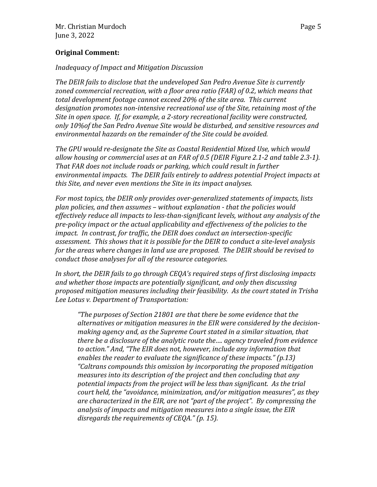### **Original Comment:**

#### *Inadequacy of Impact and Mitigation Discussion*

*The DEIR fails to disclose that the undeveloped San Pedro Avenue Site is currently zoned commercial recreation, with a floor area ratio (FAR) of 0.2, which means that total development footage cannot exceed 20% of the site area. This current designation promotes non‐intensive recreational use of the Site, retaining most of the Site in open space. If, for example, a 2‐story recreational facility were constructed, only 10%of the San Pedro Avenue Site would be disturbed, and sensitive resources and environmental hazards on the remainder of the Site could be avoided.* 

*The GPU would re‐designate the Site as Coastal Residential Mixed Use, which would* allow housing or commercial uses at an FAR of 0.5 (DEIR Figure 2.1-2 and table 2.3-1). *That FAR does not include roads or parking, which could result in further environmental impacts. The DEIR fails entirely to address potential Project impacts at this Site, and never even mentions the Site in its impact analyses.*

*For most topics, the DEIR only provides over‐generalized statements of impacts, lists plan policies, and then assumes – without explanation ‐ that the policies would effectively reduce all impacts to less‐than‐significant levels, without any analysis of the pre‐policy impact or the actual applicability and effectiveness of the policies to the impact. In contrast, for traffic, the DEIR does conduct an intersection‐specific assessment. This shows that it is possible for the DEIR to conduct a site‐level analysis for the areas where changes in land use are proposed. The DEIR should be revised to conduct those analyses for all of the resource categories.*

*In short, the DEIR fails to go through CEQA's required steps of first disclosing impacts and whether those impacts are potentially significant, and only then discussing proposed mitigation measures including their feasibility. As the court stated in Trisha Lee Lotus v. Department of Transportation:* 

*"The purposes of Section 21801 are that there be some evidence that the alternatives or mitigation measures in the EIR were considered by the decision‐ making agency and, as the Supreme Court stated in a similar situation, that there be a disclosure of the analytic route the…. agency traveled from evidence to action." And, "The EIR does not, however, include any information that enables the reader to evaluate the significance of these impacts." (p.13) "Caltrans compounds this omission by incorporating the proposed mitigation measures into its description of the project and then concluding that any potential impacts from the project will be less than significant. As the trial court held, the "avoidance, minimization, and/or mitigation measures", as they are characterized in the EIR, are not "part of the project". By compressing the analysis of impacts and mitigation measures into a single issue, the EIR disregards the requirements of CEQA." (p. 15).*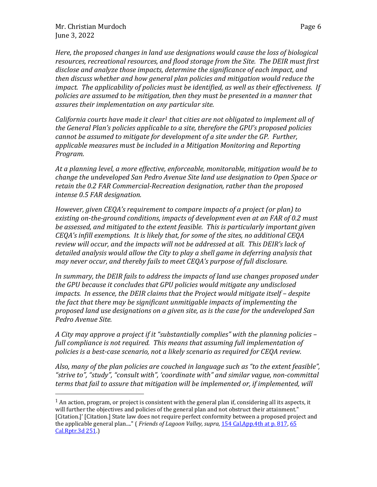*Here, the proposed changes in land use designations would cause the loss of biological resources, recreational resources, and flood storage from the Site. The DEIR must first disclose and analyze those impacts, determine the significance of each impact, and then discuss whether and how general plan policies and mitigation would reduce the impact. The applicability of policies must be identified, as well as their effectiveness. If policies are assumed to be mitigation, then they must be presented in a manner that assures their implementation on any particular site.* 

*California courts have made it clear1 that cities are not obligated to implement all of the General Plan's policies applicable to a site, therefore the GPU's proposed policies cannot be assumed to mitigate for development of a site under the GP. Further, applicable measures must be included in a Mitigation Monitoring and Reporting Program.* 

*At a planning level, a more effective, enforceable, monitorable, mitigation would be to change the undeveloped San Pedro Avenue Site land use designation to Open Space or retain the 0.2 FAR Commercial‐Recreation designation, rather than the proposed intense 0.5 FAR designation.* 

*However, given CEQA's requirement to compare impacts of a project (or plan) to existing on‐the‐ground conditions, impacts of development even at an FAR of 0.2 must be assessed, and mitigated to the extent feasible. This is particularly important given CEQA's infill exemptions. It is likely that, for some of the sites, no additional CEQA review will occur, and the impacts will not be addressed at all. This DEIR's lack of detailed analysis would allow the City to play a shell game in deferring analysis that may never occur, and thereby fails to meet CEQA's purpose of full disclosure.*

*In summary, the DEIR fails to address the impacts of land use changes proposed under the GPU because it concludes that GPU policies would mitigate any undisclosed impacts. In essence, the DEIR claims that the Project would mitigate itself – despite the fact that there may be significant unmitigable impacts of implementing the proposed land use designations on a given site, as is the case for the undeveloped San Pedro Avenue Site.* 

*A City may approve a project if it "substantially complies" with the planning policies – full compliance is not required. This means that assuming full implementation of policies is a best‐case scenario, not a likely scenario as required for CEQA review.* 

*Also, many of the plan policies are couched in language such as "to the extent feasible", "strive to", "study", "consult with", 'coordinate with" and similar vague, non‐committal terms that fail to assure that mitigation will be implemented or, if implemented, will*

 $<sup>1</sup>$  An action, program, or project is consistent with the general plan if, considering all its aspects, it</sup> will further the objectives and policies of the general plan and not obstruct their attainment." [Citation.]' [Citation.] State law does not require perfect conformity between a proposed project and the applicable general plan...." ( *Friends of Lagoon Valley, supra,* 154 Cal.App.4th at p. 817, 65 Cal.Rptr.3d 251.)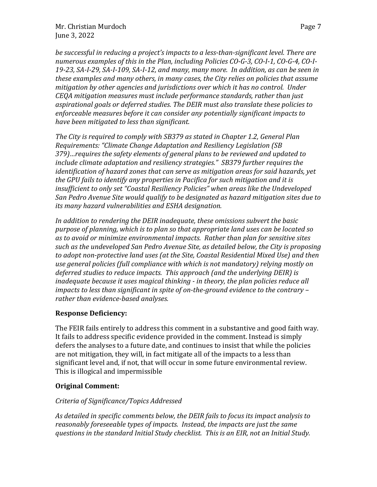*be successful in reducing a project's impacts to a less‐than‐significant level. There are* numerous examples of this in the Plan, including Policies CO-G-3, CO-I-1, CO-G-4, CO-I-19-23, SA-I-29, SA-I-109, SA-I-12, and many, many more. In addition, as can be seen in *these examples and many others, in many cases, the City relies on policies that assume mitigation by other agencies and jurisdictions over which it has no control. Under CEQA mitigation measures must include performance standards, rather than just aspirational goals or deferred studies. The DEIR must also translate these policies to enforceable measures before it can consider any potentially significant impacts to have been mitigated to less than significant.* 

*The City is required to comply with SB379 as stated in Chapter 1.2, General Plan Requirements: "Climate Change Adaptation and Resiliency Legislation (SB 379)…requires the safety elements of general plans to be reviewed and updated to include climate adaptation and resiliency strategies." SB379 further requires the identification of hazard zones that can serve as mitigation areas for said hazards, yet the GPU fails to identify any properties in Pacifica for such mitigation and it is insufficient to only set "Coastal Resiliency Policies" when areas like the Undeveloped San Pedro Avenue Site would qualify to be designated as hazard mitigation sites due to its many hazard vulnerabilities and ESHA designation.* 

*In addition to rendering the DEIR inadequate, these omissions subvert the basic purpose of planning, which is to plan so that appropriate land uses can be located so as to avoid or minimize environmental impacts. Rather than plan for sensitive sites such as the undeveloped San Pedro Avenue Site, as detailed below, the City is proposing to adopt non‐protective land uses (at the Site, Coastal Residential Mixed Use) and then use general policies (full compliance with which is not mandatory) relying mostly on deferred studies to reduce impacts. This approach (and the underlying DEIR) is inadequate because it uses magical thinking ‐ in theory, the plan policies reduce all impacts to less than significant in spite of on‐the‐ground evidence to the contrary – rather than evidence‐based analyses.* 

#### **Response Deficiency:**

The FEIR fails entirely to address this comment in a substantive and good faith way. It fails to address specific evidence provided in the comment. Instead is simply defers the analyses to a future date, and continues to insist that while the policies are not mitigation, they will, in fact mitigate all of the impacts to a less than significant level and, if not, that will occur in some future environmental review. This is illogical and impermissible

#### **Original Comment:**

# *Criteria of Significance/Topics Addressed*

*As detailed in specific comments below, the DEIR fails to focus its impact analysis to reasonably foreseeable types of impacts. Instead, the impacts are just the same questions in the standard Initial Study checklist. This is an EIR, not an Initial Study.*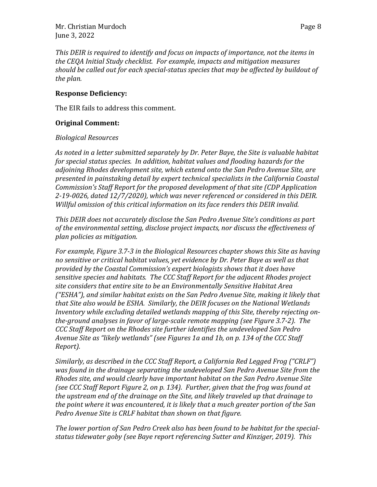*This DEIR is required to identify and focus on impacts of importance, not the items in the CEQA Initial Study checklist. For example, impacts and mitigation measures should be called out for each special‐status species that may be affected by buildout of the plan.*

#### **Response Deficiency:**

The EIR fails to address this comment.

### **Original Comment:**

#### *Biological Resources*

*As noted in a letter submitted separately by Dr. Peter Baye, the Site is valuable habitat for special status species. In addition, habitat values and flooding hazards for the adjoining Rhodes development site, which extend onto the San Pedro Avenue Site, are presented in painstaking detail by expert technical specialists in the California Coastal Commission's Staff Report for the proposed development of that site (CDP Application 2‐19‐0026, dated 12/7/2020), which was never referenced or considered in this DEIR. Willful omission of this critical information on its face renders this DEIR invalid.* 

*This DEIR does not accurately disclose the San Pedro Avenue Site's conditions as part of the environmental setting, disclose project impacts, nor discuss the effectiveness of plan policies as mitigation.* 

*For example, Figure 3.7‐3 in the Biological Resources chapter shows this Site as having no sensitive or critical habitat values, yet evidence by Dr. Peter Baye as well as that provided by the Coastal Commission's expert biologists shows that it does have sensitive species and habitats. The CCC Staff Report for the adjacent Rhodes project site considers that entire site to be an Environmentally Sensitive Habitat Area ("ESHA"), and similar habitat exists on the San Pedro Avenue Site, making it likely that that Site also would be ESHA. Similarly, the DEIR focuses on the National Wetlands Inventory while excluding detailed wetlands mapping of this Site, thereby rejecting on‐ the‐ground analyses in favor of large‐scale remote mapping (see Figure 3.7‐2). The CCC Staff Report on the Rhodes site further identifies the undeveloped San Pedro Avenue Site as "likely wetlands" (see Figures 1a and 1b, on p. 134 of the CCC Staff Report).*

*Similarly, as described in the CCC Staff Report, a California Red Legged Frog ("CRLF") was found in the drainage separating the undeveloped San Pedro Avenue Site from the Rhodes site, and would clearly have important habitat on the San Pedro Avenue Site (see CCC Staff Report Figure 2, on p. 134). Further, given that the frog was found at the upstream end of the drainage on the Site, and likely traveled up that drainage to the point where it was encountered, it is likely that a much greater portion of the San Pedro Avenue Site is CRLF habitat than shown on that figure.* 

*The lower portion of San Pedro Creek also has been found to be habitat for the special‐ status tidewater goby (see Baye report referencing Sutter and Kinziger, 2019). This*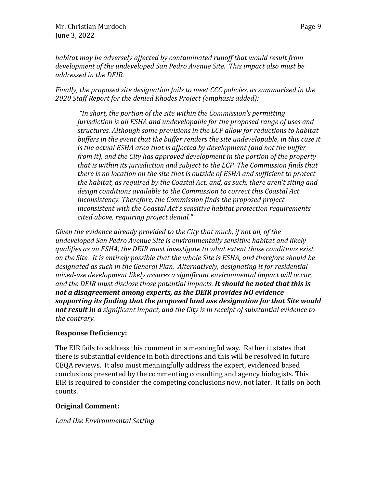*habitat may be adversely affected by contaminated runoff that would result from development of the undeveloped San Pedro Avenue Site. This impact also must be addressed in the DEIR.* 

*Finally, the proposed site designation fails to meet CCC policies, as summarized in the 2020 Staff Report for the denied Rhodes Project (emphasis added):*

*"In short, the portion of the site within the Commission's permitting jurisdiction is all ESHA and undevelopable for the proposed range of uses and structures. Although some provisions in the LCP allow for reductions to habitat buffers in the event that the buffer renders the site undevelopable, in this case it is the actual ESHA area that is affected by development (and not the buffer from it), and the City has approved development in the portion of the property that is within its jurisdiction and subject to the LCP. The Commission finds that there is no location on the site that is outside of ESHA and sufficient to protect the habitat, as required by the Coastal Act, and, as such, there aren't siting and design conditions available to the Commission to correct this Coastal Act inconsistency. Therefore, the Commission finds the proposed project inconsistent with the Coastal Act's sensitive habitat protection requirements cited above, requiring project denial."*

*Given the evidence already provided to the City that much, if not all, of the undeveloped San Pedro Avenue Site is environmentally sensitive habitat and likely qualifies as an ESHA, the DEIR must investigate to what extent those conditions exist on the Site. It is entirely possible that the whole Site is ESHA, and therefore should be designated as such in the General Plan. Alternatively, designating it for residential mixed‐use development likely assures a significant environmental impact will occur, and the DEIR must disclose those potential impacts. It should be noted that this is not a disagreement among experts, as the DEIR provides NO evidence supporting its finding that the proposed land use designation for that Site would not result in a significant impact, and the City is in receipt of substantial evidence to the contrary.*

# **Response Deficiency:**

The EIR fails to address this comment in a meaningful way. Rather it states that there is substantial evidence in both directions and this will be resolved in future CEQA reviews. It also must meaningfully address the expert, evidenced based conclusions presented by the commenting consulting and agency biologists. This EIR is required to consider the competing conclusions now, not later. It fails on both counts.

#### **Original Comment:**

*Land Use Environmental Setting*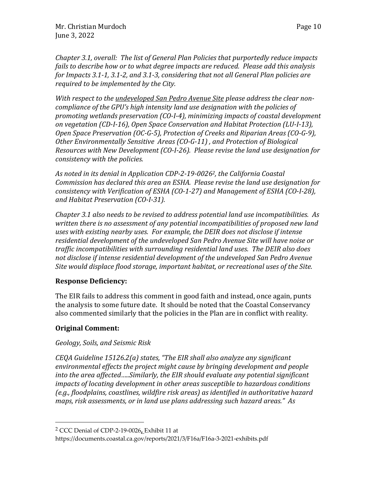*Chapter 3.1, overall: The list of General Plan Policies that purportedly reduce impacts fails to describe how or to what degree impacts are reduced. Please add this analysis* for Impacts 3.1-1, 3.1-2, and 3.1-3, considering that not all General Plan policies are *required to be implemented by the City.* 

*With respect to the undeveloped San Pedro Avenue Site please address the clear non‐ compliance of the GPU's high intensity land use designation with the policies of promoting wetlands preservation (CO‐I‐4), minimizing impacts of coastal development on vegetation (CD‐I‐16), Open Space Conservation and Habitat Protection (LU‐I‐13), Open Space Preservation (OC‐G‐5), Protection of Creeks and Riparian Areas (CO‐G‐9), Other Environmentally Sensitive Areas (CO‐G‐11) , and Protection of Biological Resources with New Development (CO‐I‐26). Please revise the land use designation for consistency with the policies.*

*As noted in its denial in Application CDP‐2‐19‐00262, the California Coastal Commission has declared this area an ESHA. Please revise the land use designation for consistency with Verification of ESHA (CO‐1‐27) and Management of ESHA (CO‐I‐28), and Habitat Preservation (CO‐I‐31).*

*Chapter 3.1 also needs to be revised to address potential land use incompatibilities. As written there is no assessment of any potential incompatibilities of proposed new land uses with existing nearby uses. For example, the DEIR does not disclose if intense residential development of the undeveloped San Pedro Avenue Site will have noise or traffic incompatibilities with surrounding residential land uses. The DEIR also does not disclose if intense residential development of the undeveloped San Pedro Avenue Site would displace flood storage, important habitat, or recreational uses of the Site.*

# **Response Deficiency:**

The EIR fails to address this comment in good faith and instead, once again, punts the analysis to some future date. It should be noted that the Coastal Conservancy also commented similarly that the policies in the Plan are in conflict with reality.

# **Original Comment:**

# *Geology, Soils, and Seismic Risk*

*CEQA Guideline 15126.2(a) states, "The EIR shall also analyze any significant environmental effects the project might cause by bringing development and people into the area affected…..Similarly, the EIR should evaluate any potential significant impacts of locating development in other areas susceptible to hazardous conditions (e.g., floodplains, coastlines, wildfire risk areas) as identified in authoritative hazard maps, risk assessments, or in land use plans addressing such hazard areas." As*

<sup>2</sup> CCC Denial of CDP‐2‐19‐0026**,** Exhibit 11 at

https://documents.coastal.ca.gov/reports/2021/3/F16a/F16a‐3‐2021‐exhibits.pdf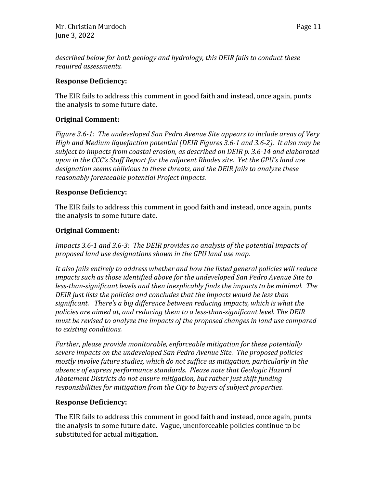*described below for both geology and hydrology, this DEIR fails to conduct these required assessments.*

### **Response Deficiency:**

The EIR fails to address this comment in good faith and instead, once again, punts the analysis to some future date.

### **Original Comment:**

*Figure 3.6‐1: The undeveloped San Pedro Avenue Site appears to include areas of Very High and Medium liquefaction potential (DEIR Figures 3.6‐1 and 3.6‐2). It also may be subject to impacts from coastal erosion, as described on DEIR p. 3.6‐14 and elaborated upon in the CCC's Staff Report for the adjacent Rhodes site. Yet the GPU's land use designation seems oblivious to these threats, and the DEIR fails to analyze these reasonably foreseeable potential Project impacts.* 

#### **Response Deficiency:**

The EIR fails to address this comment in good faith and instead, once again, punts the analysis to some future date.

### **Original Comment:**

*Impacts 3.6‐1 and 3.6‐3: The DEIR provides no analysis of the potential impacts of proposed land use designations shown in the GPU land use map.* 

*It also fails entirely to address whether and how the listed general policies will reduce impacts such as those identified above for the undeveloped San Pedro Avenue Site to less‐than‐significant levels and then inexplicably finds the impacts to be minimal. The DEIR just lists the policies and concludes that the impacts would be less than significant. There's a big difference between reducing impacts, which is what the policies are aimed at, and reducing them to a less‐than‐significant level. The DEIR must be revised to analyze the impacts of the proposed changes in land use compared to existing conditions.* 

*Further, please provide monitorable, enforceable mitigation for these potentially severe impacts on the undeveloped San Pedro Avenue Site. The proposed policies mostly involve future studies, which do not suffice as mitigation, particularly in the absence of express performance standards. Please note that Geologic Hazard Abatement Districts do not ensure mitigation, but rather just shift funding responsibilities for mitigation from the City to buyers of subject properties.*

#### **Response Deficiency:**

The EIR fails to address this comment in good faith and instead, once again, punts the analysis to some future date. Vague, unenforceable policies continue to be substituted for actual mitigation.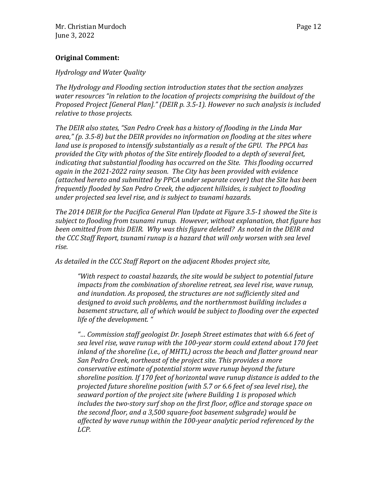### **Original Comment:**

#### *Hydrology and Water Quality*

*The Hydrology and Flooding section introduction states that the section analyzes water resources "in relation to the location of projects comprising the buildout of the Proposed Project [General Plan]." (DEIR p. 3.5‐1). However no such analysis is included relative to those projects.* 

*The DEIR also states, "San Pedro Creek has a history of flooding in the Linda Mar area," (p. 3.5‐8) but the DEIR provides no information on flooding at the sites where land use is proposed to intensify substantially as a result of the GPU. The PPCA has provided the City with photos of the Site entirely flooded to a depth of several feet, indicating that substantial flooding has occurred on the Site. This flooding occurred again in the 2021‐2022 rainy season. The City has been provided with evidence (attached hereto and submitted by PPCA under separate cover) that the Site has been frequently flooded by San Pedro Creek, the adjacent hillsides, is subject to flooding under projected sea level rise, and is subject to tsunami hazards.* 

*The 2014 DEIR for the Pacifica General Plan Update at Figure 3.5‐1 showed the Site is subject to flooding from tsunami runup. However, without explanation, that figure has been omitted from this DEIR. Why was this figure deleted? As noted in the DEIR and the CCC Staff Report, tsunami runup is a hazard that will only worsen with sea level rise.*

*As detailed in the CCC Staff Report on the adjacent Rhodes project site,*

*"With respect to coastal hazards, the site would be subject to potential future impacts from the combination of shoreline retreat, sea level rise, wave runup, and inundation. As proposed, the structures are not sufficiently sited and designed to avoid such problems, and the northernmost building includes a basement structure, all of which would be subject to flooding over the expected life of the development. "*

*"… Commission staff geologist Dr. Joseph Street estimates that with 6.6 feet of sea level rise, wave runup with the 100‐year storm could extend about 170 feet inland of the shoreline (i.e., of MHTL) across the beach and flatter ground near San Pedro Creek, northeast of the project site. This provides a more conservative estimate of potential storm wave runup beyond the future shoreline position. If 170 feet of horizontal wave runup distance is added to the projected future shoreline position (with 5.7 or 6.6 feet of sea level rise), the seaward portion of the project site (where Building 1 is proposed which includes the two‐story surf shop on the first floor, office and storage space on the second floor, and a 3,500 square‐foot basement subgrade) would be affected by wave runup within the 100‐year analytic period referenced by the LCP.*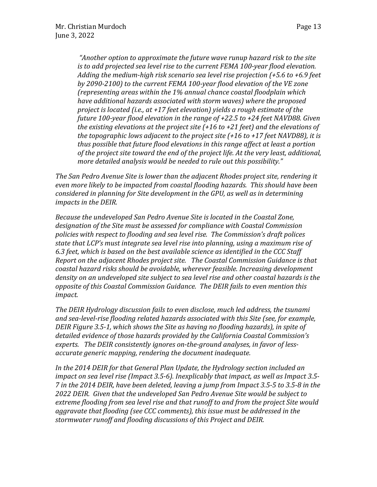*"Another option to approximate the future wave runup hazard risk to the site is to add projected sea level rise to the current FEMA 100‐year flood elevation. Adding the medium‐high risk scenario sea level rise projection (+5.6 to +6.9 feet by 2090‐2100) to the current FEMA 100‐year flood elevation of the VE zone (representing areas within the 1% annual chance coastal floodplain which have additional hazards associated with storm waves) where the proposed project is located (i.e., at +17 feet elevation) yields a rough estimate of the future 100‐year flood elevation in the range of +22.5 to +24 feet NAVD88. Given the existing elevations at the project site (+16 to +21 feet) and the elevations of the topographic lows adjacent to the project site (+16 to +17 feet NAVD88), it is thus possible that future flood elevations in this range affect at least a portion of the project site toward the end of the project life. At the very least, additional, more detailed analysis would be needed to rule out this possibility."*

*The San Pedro Avenue Site is lower than the adjacent Rhodes project site, rendering it even more likely to be impacted from coastal flooding hazards. This should have been considered in planning for Site development in the GPU, as well as in determining impacts in the DEIR.* 

*Because the undeveloped San Pedro Avenue Site is located in the Coastal Zone, designation of the Site must be assessed for compliance with Coastal Commission policies with respect to flooding and sea level rise. The Commission's draft polices state that LCP's must integrate sea level rise into planning, using a maximum rise of 6.3 feet, which is based on the best available science as identified in the CCC Staff Report on the adjacent Rhodes project site. The Coastal Commission Guidance is that coastal hazard risks should be avoidable, wherever feasible. Increasing development density on an undeveloped site subject to sea level rise and other coastal hazards is the opposite of this Coastal Commission Guidance. The DEIR fails to even mention this impact.* 

*The DEIR Hydrology discussion fails to even disclose, much led address, the tsunami and sea‐level‐rise flooding related hazards associated with this Site (see, for example, DEIR Figure 3.5‐1, which shows the Site as having no flooding hazards), in spite of detailed evidence of those hazards provided by the California Coastal Commission's experts. The DEIR consistently ignores on‐the‐ground analyses, in favor of less‐ accurate generic mapping, rendering the document inadequate.*

*In the 2014 DEIR for that General Plan Update, the Hydrology section included an impact on sea level rise (Impact 3.5‐6). Inexplicably that impact, as well as Impact 3.5‐* 7 in the 2014 DEIR, have been deleted, leaving a jump from Impact 3.5-5 to 3.5-8 in the *2022 DEIR. Given that the undeveloped San Pedro Avenue Site would be subject to extreme flooding from sea level rise and that runoff to and from the project Site would aggravate that flooding (see CCC comments), this issue must be addressed in the stormwater runoff and flooding discussions of this Project and DEIR.*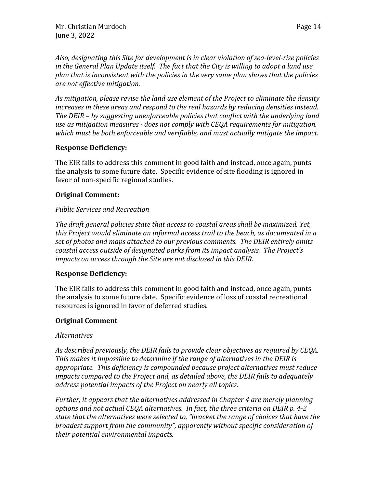*Also, designating this Site for development is in clear violation of sea‐level‐rise policies in the General Plan Update itself. The fact that the City is willing to adopt a land use plan that is inconsistent with the policies in the very same plan shows that the policies are not effective mitigation.* 

*As mitigation, please revise the land use element of the Project to eliminate the density increases in these areas and respond to the real hazards by reducing densities instead. The DEIR – by suggesting unenforceable policies that conflict with the underlying land use as mitigation measures ‐ does not comply with CEQA requirements for mitigation, which must be both enforceable and verifiable, and must actually mitigate the impact.*

### **Response Deficiency:**

The EIR fails to address this comment in good faith and instead, once again, punts the analysis to some future date. Specific evidence of site flooding is ignored in favor of non-specific regional studies.

# **Original Comment:**

### *Public Services and Recreation*

*The draft general policies state that access to coastal areas shall be maximized. Yet, this Project would eliminate an informal access trail to the beach, as documented in a set of photos and maps attached to our previous comments. The DEIR entirely omits coastal access outside of designated parks from its impact analysis. The Project's impacts on access through the Site are not disclosed in this DEIR.* 

#### **Response Deficiency:**

The EIR fails to address this comment in good faith and instead, once again, punts the analysis to some future date. Specific evidence of loss of coastal recreational resources is ignored in favor of deferred studies.

#### **Original Comment**

#### *Alternatives*

*As described previously, the DEIR fails to provide clear objectives as required by CEQA. This makes it impossible to determine if the range of alternatives in the DEIR is appropriate. This deficiency is compounded because project alternatives must reduce impacts compared to the Project and, as detailed above, the DEIR fails to adequately address potential impacts of the Project on nearly all topics.* 

*Further, it appears that the alternatives addressed in Chapter 4 are merely planning options and not actual CEQA alternatives. In fact, the three criteria on DEIR p. 4‐2 state that the alternatives were selected to, "bracket the range of choices that have the broadest support from the community", apparently without specific consideration of their potential environmental impacts.*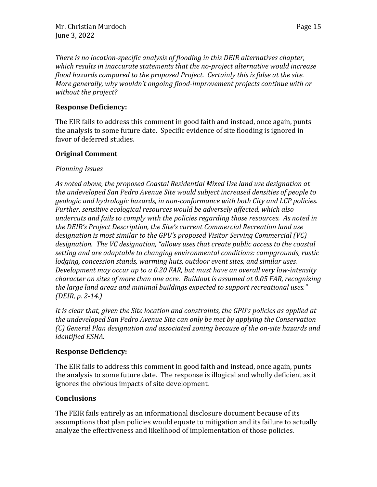*There is no location‐specific analysis of flooding in this DEIR alternatives chapter, which results in inaccurate statements that the no‐project alternative would increase flood hazards compared to the proposed Project. Certainly this is false at the site. More generally, why wouldn't ongoing flood‐improvement projects continue with or without the project?* 

# **Response Deficiency:**

The EIR fails to address this comment in good faith and instead, once again, punts the analysis to some future date. Specific evidence of site flooding is ignored in favor of deferred studies.

# **Original Comment**

# *Planning Issues*

*As noted above, the proposed Coastal Residential Mixed Use land use designation at the undeveloped San Pedro Avenue Site would subject increased densities of people to geologic and hydrologic hazards, in non‐conformance with both City and LCP policies. Further, sensitive ecological resources would be adversely affected, which also undercuts and fails to comply with the policies regarding those resources. As noted in the DEIR's Project Description, the Site's current Commercial Recreation land use designation is most similar to the GPU's proposed Visitor Serving Commercial (VC) designation. The VC designation, "allows uses that create public access to the coastal setting and are adaptable to changing environmental conditions: campgrounds, rustic lodging, concession stands, warming huts, outdoor event sites, and similar uses. Development may occur up to a 0.20 FAR, but must have an overall very low‐intensity character on sites of more than one acre. Buildout is assumed at 0.05 FAR, recognizing the large land areas and minimal buildings expected to support recreational uses." (DEIR, p. 2‐14.)* 

*It is clear that, given the Site location and constraints, the GPU's policies as applied at the undeveloped San Pedro Avenue Site can only be met by applying the Conservation (C) General Plan designation and associated zoning because of the on‐site hazards and identified ESHA.*

# **Response Deficiency:**

The EIR fails to address this comment in good faith and instead, once again, punts the analysis to some future date. The response is illogical and wholly deficient as it ignores the obvious impacts of site development.

# **Conclusions**

The FEIR fails entirely as an informational disclosure document because of its assumptions that plan policies would equate to mitigation and its failure to actually analyze the effectiveness and likelihood of implementation of those policies.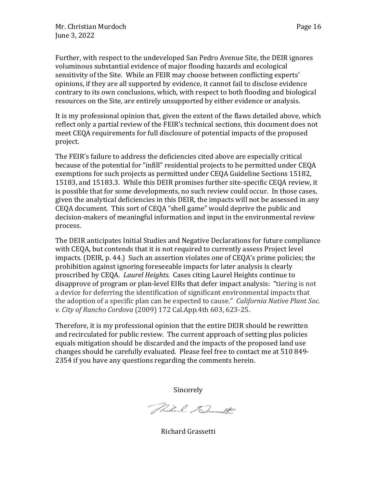Further, with respect to the undeveloped San Pedro Avenue Site, the DEIR ignores voluminous substantial evidence of major flooding hazards and ecological sensitivity of the Site. While an FEIR may choose between conflicting experts' opinions, if they are all supported by evidence, it cannot fail to disclose evidence contrary to its own conclusions, which, with respect to both flooding and biological resources on the Site, are entirely unsupported by either evidence or analysis.

It is my professional opinion that, given the extent of the flaws detailed above, which reflect only a partial review of the FEIR's technical sections, this document does not meet CEQA requirements for full disclosure of potential impacts of the proposed project.

The FEIR's failure to address the deficiencies cited above are especially critical because of the potential for "infill" residential projects to be permitted under CEQA exemptions for such projects as permitted under CEQA Guideline Sections 15182, 15183, and 15183.3. While this DEIR promises further site-specific CEQA review, it is possible that for some developments, no such review could occur. In those cases, given the analytical deficiencies in this DEIR, the impacts will not be assessed in any CEQA document. This sort of CEQA "shell game" would deprive the public and decision-makers of meaningful information and input in the environmental review process.

The DEIR anticipates Initial Studies and Negative Declarations for future compliance with CEQA, but contends that it is not required to currently assess Project level impacts. (DEIR, p. 44.) Such an assertion violates one of CEQA's prime policies; the prohibition against ignoring foreseeable impacts for later analysis is clearly proscribed by CEQA. *Laurel Heights.* Cases citing Laurel Heights continue to disapprove of program or plan-level EIRs that defer impact analysis: "tiering is not a device for deferring the identification of significant environmental impacts that the adoption of a specific plan can be expected to cause." *California Native Plant Soc. v. City of Rancho Cordova* (2009) 172 Cal.App.4th 603, 623-25.

Therefore, it is my professional opinion that the entire DEIR should be rewritten and recirculated for public review. The current approach of setting plus policies equals mitigation should be discarded and the impacts of the proposed land use changes should be carefully evaluated. Please feel free to contact me at 510 849- 2354 if you have any questions regarding the comments herein.

Sincerely

Philand Dusselt

Richard Grassetti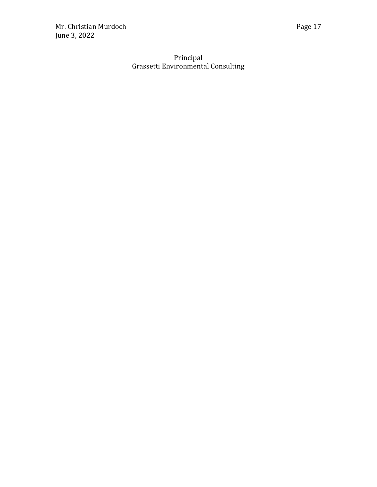### Principal Grassetti Environmental Consulting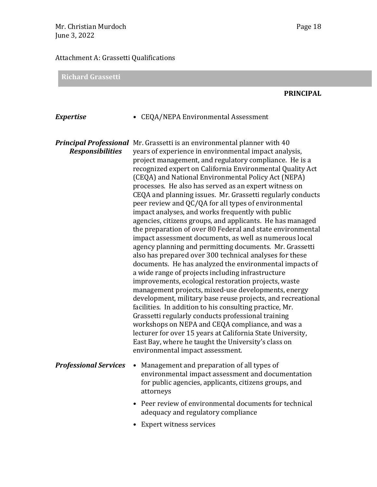# Attachment A: Grassetti Qualifications

| <b>Richard Grassetti</b>     |                                                                                                                                                                                                                                                                                                                                                                                                                                                                                                                                                                                                                                                                                                                                                                                                                                                                                                                                                                                                                                                                                                                                                                                                                                                                                                                                                                                                                                                                                                   |  |  |
|------------------------------|---------------------------------------------------------------------------------------------------------------------------------------------------------------------------------------------------------------------------------------------------------------------------------------------------------------------------------------------------------------------------------------------------------------------------------------------------------------------------------------------------------------------------------------------------------------------------------------------------------------------------------------------------------------------------------------------------------------------------------------------------------------------------------------------------------------------------------------------------------------------------------------------------------------------------------------------------------------------------------------------------------------------------------------------------------------------------------------------------------------------------------------------------------------------------------------------------------------------------------------------------------------------------------------------------------------------------------------------------------------------------------------------------------------------------------------------------------------------------------------------------|--|--|
|                              | <b>PRINCIPAL</b>                                                                                                                                                                                                                                                                                                                                                                                                                                                                                                                                                                                                                                                                                                                                                                                                                                                                                                                                                                                                                                                                                                                                                                                                                                                                                                                                                                                                                                                                                  |  |  |
| <b>Expertise</b>             | • CEQA/NEPA Environmental Assessment                                                                                                                                                                                                                                                                                                                                                                                                                                                                                                                                                                                                                                                                                                                                                                                                                                                                                                                                                                                                                                                                                                                                                                                                                                                                                                                                                                                                                                                              |  |  |
| <b>Responsibilities</b>      | <b>Principal Professional</b> Mr. Grassetti is an environmental planner with 40<br>years of experience in environmental impact analysis,<br>project management, and regulatory compliance. He is a<br>recognized expert on California Environmental Quality Act<br>(CEQA) and National Environmental Policy Act (NEPA)<br>processes. He also has served as an expert witness on<br>CEQA and planning issues. Mr. Grassetti regularly conducts<br>peer review and QC/QA for all types of environmental<br>impact analyses, and works frequently with public<br>agencies, citizens groups, and applicants. He has managed<br>the preparation of over 80 Federal and state environmental<br>impact assessment documents, as well as numerous local<br>agency planning and permitting documents. Mr. Grassetti<br>also has prepared over 300 technical analyses for these<br>documents. He has analyzed the environmental impacts of<br>a wide range of projects including infrastructure<br>improvements, ecological restoration projects, waste<br>management projects, mixed-use developments, energy<br>development, military base reuse projects, and recreational<br>facilities. In addition to his consulting practice, Mr.<br>Grassetti regularly conducts professional training<br>workshops on NEPA and CEQA compliance, and was a<br>lecturer for over 15 years at California State University,<br>East Bay, where he taught the University's class on<br>environmental impact assessment. |  |  |
| <b>Professional Services</b> | Management and preparation of all types of<br>environmental impact assessment and documentation<br>for public agencies, applicants, citizens groups, and<br>attorneys                                                                                                                                                                                                                                                                                                                                                                                                                                                                                                                                                                                                                                                                                                                                                                                                                                                                                                                                                                                                                                                                                                                                                                                                                                                                                                                             |  |  |
|                              | • Peer review of environmental documents for technical<br>adequacy and regulatory compliance                                                                                                                                                                                                                                                                                                                                                                                                                                                                                                                                                                                                                                                                                                                                                                                                                                                                                                                                                                                                                                                                                                                                                                                                                                                                                                                                                                                                      |  |  |
|                              | $E_{\text{true}}$ out units ago gown good                                                                                                                                                                                                                                                                                                                                                                                                                                                                                                                                                                                                                                                                                                                                                                                                                                                                                                                                                                                                                                                                                                                                                                                                                                                                                                                                                                                                                                                         |  |  |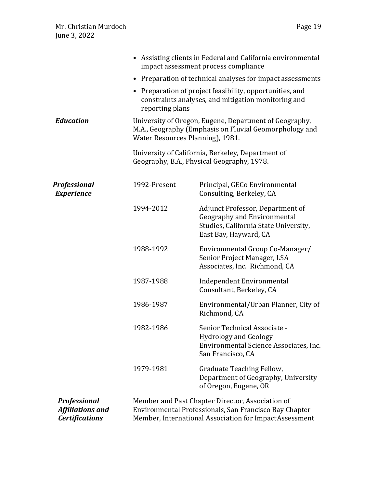|                                                                         |                                                                                                                                                                      | • Assisting clients in Federal and California environmental<br>impact assessment process compliance                                      |  |
|-------------------------------------------------------------------------|----------------------------------------------------------------------------------------------------------------------------------------------------------------------|------------------------------------------------------------------------------------------------------------------------------------------|--|
|                                                                         | • Preparation of technical analyses for impact assessments                                                                                                           |                                                                                                                                          |  |
|                                                                         | • Preparation of project feasibility, opportunities, and<br>constraints analyses, and mitigation monitoring and<br>reporting plans                                   |                                                                                                                                          |  |
| <b>Education</b>                                                        | Water Resources Planning), 1981.                                                                                                                                     | University of Oregon, Eugene, Department of Geography,<br>M.A., Geography (Emphasis on Fluvial Geomorphology and                         |  |
|                                                                         |                                                                                                                                                                      | University of California, Berkeley, Department of<br>Geography, B.A., Physical Geography, 1978.                                          |  |
| <b>Professional</b><br><b>Experience</b>                                | 1992-Present                                                                                                                                                         | Principal, GECo Environmental<br>Consulting, Berkeley, CA                                                                                |  |
|                                                                         | 1994-2012                                                                                                                                                            | Adjunct Professor, Department of<br><b>Geography and Environmental</b><br>Studies, California State University,<br>East Bay, Hayward, CA |  |
|                                                                         | 1988-1992                                                                                                                                                            | Environmental Group Co-Manager/<br>Senior Project Manager, LSA<br>Associates, Inc. Richmond, CA                                          |  |
|                                                                         | 1987-1988                                                                                                                                                            | <b>Independent Environmental</b><br>Consultant, Berkeley, CA                                                                             |  |
|                                                                         | 1986-1987                                                                                                                                                            | Environmental/Urban Planner, City of<br>Richmond, CA                                                                                     |  |
|                                                                         | 1982-1986                                                                                                                                                            | <b>Senior Technical Associate -</b><br>Hydrology and Geology -<br>Environmental Science Associates, Inc.<br>San Francisco, CA            |  |
|                                                                         | 1979-1981                                                                                                                                                            | Graduate Teaching Fellow,<br>Department of Geography, University<br>of Oregon, Eugene, OR                                                |  |
| <b>Professional</b><br><b>Affiliations and</b><br><b>Certifications</b> | Member and Past Chapter Director, Association of<br>Environmental Professionals, San Francisco Bay Chapter<br>Member, International Association for ImpactAssessment |                                                                                                                                          |  |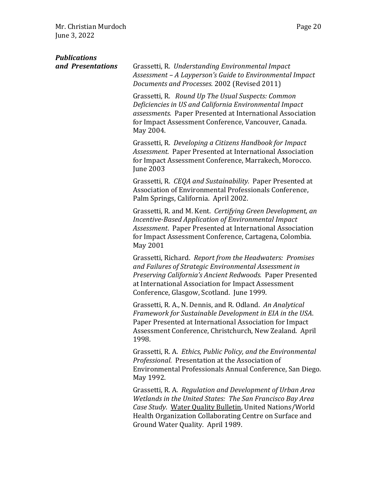| <b>Publications</b><br>and Presentations | Grassetti, R. Understanding Environmental Impact<br>Assessment - A Layperson's Guide to Environmental Impact<br>Documents and Processes. 2002 (Revised 2011)                                                                                  |
|------------------------------------------|-----------------------------------------------------------------------------------------------------------------------------------------------------------------------------------------------------------------------------------------------|
|                                          | Grassetti, R. Round Up The Usual Suspects: Common<br>Deficiencies in US and California Environmental Impact<br>assessments. Paper Presented at International Association<br>for Impact Assessment Conference, Vancouver, Canada.<br>May 2004. |
|                                          | Grassetti, R. Developing a Citizens Handbook for Impact<br>Assessment. Paper Presented at International Association<br>for Impact Assessment Conference, Marrakech, Morocco.<br>June 2003                                                     |
|                                          | Grassetti, R. CEQA and Sustainability. Paper Presented at<br>Association of Environmental Professionals Conference,<br>Palm Springs, California. April 2002.                                                                                  |
|                                          | Grassetti, R. and M. Kent. Certifying Green Development, an<br>Incentive-Based Application of Environmental Impact<br>Assessment. Paper Presented at International Association<br>for Impact Assessment Conference, Cartagena, Colombia.      |

May 2001

 Grassetti, Richard. *Report from the Headwaters: Promises and Failures of Strategic Environmental Assessment in Preserving California's Ancient Redwoods.* Paper Presented at International Association for Impact Assessment Conference, Glasgow, Scotland. June 1999.

 Grassetti, R. A., N. Dennis, and R. Odland. *An Analytical Framework for Sustainable Development in EIA in the USA*. Paper Presented at International Association for Impact Assessment Conference, Christchurch, New Zealand. April 1998.

Grassetti, R. A. *Ethics, Public Policy, and the Environmental Professional.* Presentation at the Association of Environmental Professionals Annual Conference, San Diego. May 1992.

Grassetti, R. A. *Regulation and Development of Urban Area Wetlands in the United States: The San Francisco Bay Area Case Study*. Water Quality Bulletin, United Nations/World Health Organization Collaborating Centre on Surface and Ground Water Quality. April 1989.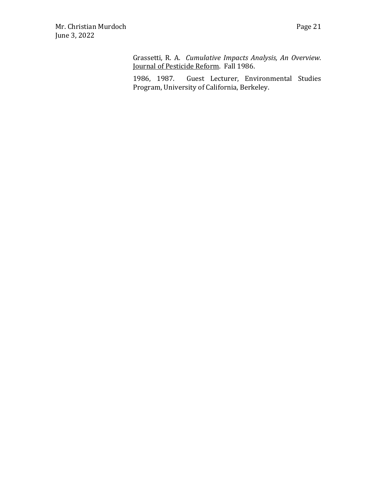Grassetti, R. A. *Cumulative Impacts Analysis, An Overview*. Journal of Pesticide Reform. Fall 1986.

1986, 1987. Guest Lecturer, Environmental Studies Program, University of California, Berkeley.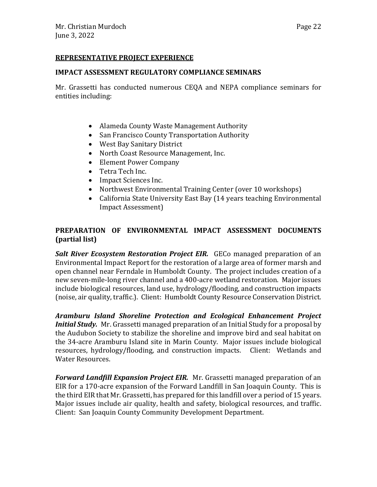### **REPRESENTATIVE PROJECT EXPERIENCE**

### **IMPACT ASSESSMENT REGULATORY COMPLIANCE SEMINARS**

Mr. Grassetti has conducted numerous CEQA and NEPA compliance seminars for entities including:

- Alameda County Waste Management Authority
- San Francisco County Transportation Authority
- West Bay Sanitary District
- North Coast Resource Management, Inc.
- Element Power Company
- Tetra Tech Inc.
- Impact Sciences Inc.
- Northwest Environmental Training Center (over 10 workshops)
- California State University East Bay (14 years teaching Environmental Impact Assessment)

# **PREPARATION OF ENVIRONMENTAL IMPACT ASSESSMENT DOCUMENTS (partial list)**

*Salt River Ecosystem Restoration Project EIR.* GECo managed preparation of an Environmental Impact Report for the restoration of a large area of former marsh and open channel near Ferndale in Humboldt County. The project includes creation of a new seven-mile-long river channel and a 400-acre wetland restoration. Major issues include biological resources, land use, hydrology/flooding, and construction impacts (noise, air quality, traffic.). Client: Humboldt County Resource Conservation District.

*Aramburu Island Shoreline Protection and Ecological Enhancement Project Initial Study.* Mr. Grassetti managed preparation of an Initial Study for a proposal by the Audubon Society to stabilize the shoreline and improve bird and seal habitat on the 34-acre Aramburu Island site in Marin County. Major issues include biological resources, hydrology/flooding, and construction impacts. Client: Wetlands and Water Resources.

*Forward Landfill Expansion Project EIR.* Mr. Grassetti managed preparation of an EIR for a 170-acre expansion of the Forward Landfill in San Joaquin County. This is the third EIR that Mr. Grassetti, has prepared for this landfill over a period of 15 years. Major issues include air quality, health and safety, biological resources, and traffic. Client: San Joaquin County Community Development Department.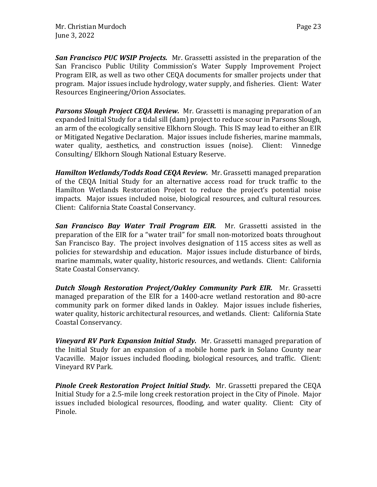*San Francisco PUC WSIP Projects.* Mr. Grassetti assisted in the preparation of the San Francisco Public Utility Commission's Water Supply Improvement Project Program EIR, as well as two other CEQA documents for smaller projects under that program. Major issues include hydrology, water supply, and fisheries. Client: Water Resources Engineering/Orion Associates.

*Parsons Slough Project CEQA Review.* Mr. Grassetti is managing preparation of an expanded Initial Study for a tidal sill (dam) project to reduce scour in Parsons Slough, an arm of the ecologically sensitive Elkhorn Slough. This IS may lead to either an EIR or Mitigated Negative Declaration. Major issues include fisheries, marine mammals, water quality, aesthetics, and construction issues (noise). Client: Vinnedge Consulting/ Elkhorn Slough National Estuary Reserve.

*Hamilton Wetlands/Todds Road CEQA Review.* Mr. Grassetti managed preparation of the CEQA Initial Study for an alternative access road for truck traffic to the Hamilton Wetlands Restoration Project to reduce the project's potential noise impacts. Major issues included noise, biological resources, and cultural resources. Client: California State Coastal Conservancy.

*San Francisco Bay Water Trail Program EIR.*  Mr. Grassetti assisted in the preparation of the EIR for a "water trail" for small non-motorized boats throughout San Francisco Bay. The project involves designation of 115 access sites as well as policies for stewardship and education. Major issues include disturbance of birds, marine mammals, water quality, historic resources, and wetlands. Client: California State Coastal Conservancy.

*Dutch Slough Restoration Project/Oakley Community Park EIR.*  Mr. Grassetti managed preparation of the EIR for a 1400-acre wetland restoration and 80-acre community park on former diked lands in Oakley. Major issues include fisheries, water quality, historic architectural resources, and wetlands. Client: California State Coastal Conservancy.

*Vineyard RV Park Expansion Initial Study.* Mr. Grassetti managed preparation of the Initial Study for an expansion of a mobile home park in Solano County near Vacaville. Major issues included flooding, biological resources, and traffic. Client: Vineyard RV Park.

*Pinole Creek Restoration Project Initial Study.* Mr. Grassetti prepared the CEQA Initial Study for a 2.5-mile long creek restoration project in the City of Pinole. Major issues included biological resources, flooding, and water quality. Client: City of Pinole.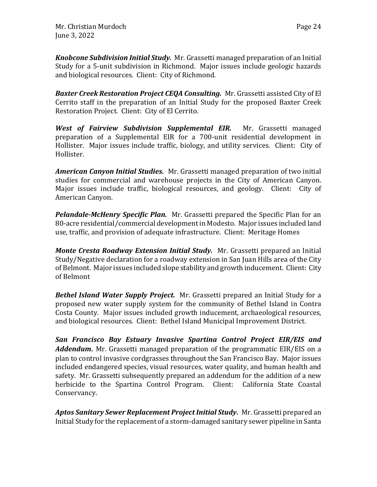*Knobcone Subdivision Initial Study.* Mr. Grassetti managed preparation of an Initial Study for a 5-unit subdivision in Richmond. Major issues include geologic hazards and biological resources. Client: City of Richmond.

*Baxter Creek Restoration Project CEQA Consulting.* Mr. Grassetti assisted City of El Cerrito staff in the preparation of an Initial Study for the proposed Baxter Creek Restoration Project. Client: City of El Cerrito.

*West of Fairview Subdivision Supplemental EIR.* Mr. Grassetti managed preparation of a Supplemental EIR for a 700-unit residential development in Hollister. Major issues include traffic, biology, and utility services. Client: City of Hollister.

*American Canyon Initial Studies.* Mr. Grassetti managed preparation of two initial studies for commercial and warehouse projects in the City of American Canyon. Major issues include traffic, biological resources, and geology. Client: City of American Canyon.

*Pelandale‐McHenry Specific Plan.* Mr. Grassetti prepared the Specific Plan for an 80-acre residential/commercial development in Modesto. Major issues included land use, traffic, and provision of adequate infrastructure. Client: Meritage Homes

*Monte Cresta Roadway Extension Initial Study.* Mr. Grassetti prepared an Initial Study/Negative declaration for a roadway extension in San Juan Hills area of the City of Belmont. Major issues included slope stability and growth inducement. Client: City of Belmont

*Bethel Island Water Supply Project.* Mr. Grassetti prepared an Initial Study for a proposed new water supply system for the community of Bethel Island in Contra Costa County. Major issues included growth inducement, archaeological resources, and biological resources. Client: Bethel Island Municipal Improvement District.

*San Francisco Bay Estuary Invasive Spartina Control Project EIR/EIS and Addendum.* Mr. Grassetti managed preparation of the programmatic EIR/EIS on a plan to control invasive cordgrasses throughout the San Francisco Bay. Major issues included endangered species, visual resources, water quality, and human health and safety. Mr. Grassetti subsequently prepared an addendum for the addition of a new herbicide to the Spartina Control Program. Client: California State Coastal Conservancy.

*Aptos Sanitary Sewer Replacement Project Initial Study.* Mr. Grassetti prepared an Initial Study for the replacement of a storm-damaged sanitary sewer pipeline in Santa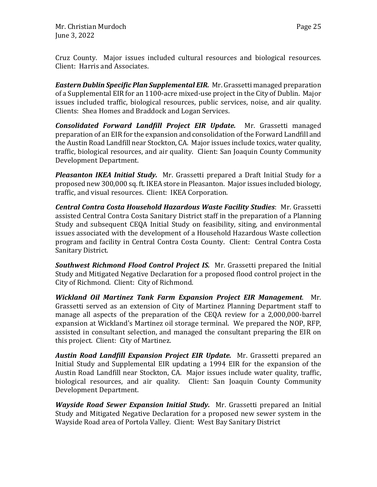Cruz County. Major issues included cultural resources and biological resources. Client: Harris and Associates.

*Eastern Dublin Specific Plan Supplemental EIR.* Mr. Grassetti managed preparation of a Supplemental EIR for an 1100-acre mixed-use project in the City of Dublin. Major issues included traffic, biological resources, public services, noise, and air quality. Clients: Shea Homes and Braddock and Logan Services.

*Consolidated Forward Landfill Project EIR Update.* Mr. Grassetti managed preparation of an EIR for the expansion and consolidation of the Forward Landfill and the Austin Road Landfill near Stockton, CA. Major issues include toxics, water quality, traffic, biological resources, and air quality. Client: San Joaquin County Community Development Department.

*Pleasanton IKEA Initial Study.* Mr. Grassetti prepared a Draft Initial Study for a proposed new 300,000 sq. ft. IKEA store in Pleasanton. Major issues included biology, traffic, and visual resources. Client: IKEA Corporation.

*Central Contra Costa Household Hazardous Waste Facility Studies*: Mr. Grassetti assisted Central Contra Costa Sanitary District staff in the preparation of a Planning Study and subsequent CEQA Initial Study on feasibility, siting, and environmental issues associated with the development of a Household Hazardous Waste collection program and facility in Central Contra Costa County. Client: Central Contra Costa Sanitary District.

*Southwest Richmond Flood Control Project IS.* Mr. Grassetti prepared the Initial Study and Mitigated Negative Declaration for a proposed flood control project in the City of Richmond. Client: City of Richmond.

*Wickland Oil Martinez Tank Farm Expansion Project EIR Management*. Mr. Grassetti served as an extension of City of Martinez Planning Department staff to manage all aspects of the preparation of the CEQA review for a 2,000,000-barrel expansion at Wickland's Martinez oil storage terminal. We prepared the NOP, RFP, assisted in consultant selection, and managed the consultant preparing the EIR on this project. Client: City of Martinez.

*Austin Road Landfill Expansion Project EIR Update.* Mr. Grassetti prepared an Initial Study and Supplemental EIR updating a 1994 EIR for the expansion of the Austin Road Landfill near Stockton, CA. Major issues include water quality, traffic, biological resources, and air quality. Client: San Joaquin County Community Development Department.

*Wayside Road Sewer Expansion Initial Study.*  Mr. Grassetti prepared an Initial Study and Mitigated Negative Declaration for a proposed new sewer system in the Wayside Road area of Portola Valley. Client: West Bay Sanitary District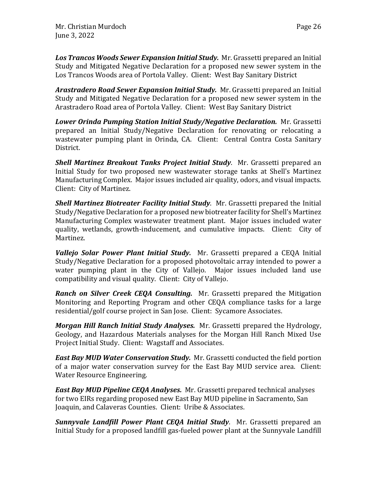*Los Trancos Woods Sewer Expansion Initial Study.* Mr. Grassetti prepared an Initial Study and Mitigated Negative Declaration for a proposed new sewer system in the Los Trancos Woods area of Portola Valley. Client: West Bay Sanitary District

*Arastradero Road Sewer Expansion Initial Study.* Mr. Grassetti prepared an Initial Study and Mitigated Negative Declaration for a proposed new sewer system in the Arastradero Road area of Portola Valley. Client: West Bay Sanitary District

*Lower Orinda Pumping Station Initial Study/Negative Declaration.* Mr. Grassetti prepared an Initial Study/Negative Declaration for renovating or relocating a wastewater pumping plant in Orinda, CA. Client: Central Contra Costa Sanitary District.

*Shell Martinez Breakout Tanks Project Initial Study*. Mr. Grassetti prepared an Initial Study for two proposed new wastewater storage tanks at Shell's Martinez Manufacturing Complex. Major issues included air quality, odors, and visual impacts. Client: City of Martinez.

*Shell Martinez Biotreater Facility Initial Study*. Mr. Grassetti prepared the Initial Study/Negative Declaration for a proposed new biotreater facility for Shell's Martinez Manufacturing Complex wastewater treatment plant. Major issues included water quality, wetlands, growth-inducement, and cumulative impacts. Client: City of Martinez.

*Vallejo Solar Power Plant Initial Study.*  Mr. Grassetti prepared a CEQA Initial Study/Negative Declaration for a proposed photovoltaic array intended to power a water pumping plant in the City of Vallejo. Major issues included land use compatibility and visual quality. Client: City of Vallejo.

*Ranch on Silver Creek CEQA Consulting.*  Mr. Grassetti prepared the Mitigation Monitoring and Reporting Program and other CEQA compliance tasks for a large residential/golf course project in San Jose. Client: Sycamore Associates.

*Morgan Hill Ranch Initial Study Analyses.* Mr. Grassetti prepared the Hydrology, Geology, and Hazardous Materials analyses for the Morgan Hill Ranch Mixed Use Project Initial Study. Client: Wagstaff and Associates.

*East Bay MUD Water Conservation Study.* Mr. Grassetti conducted the field portion of a major water conservation survey for the East Bay MUD service area. Client: Water Resource Engineering.

*East Bay MUD Pipeline CEQA Analyses.* Mr. Grassetti prepared technical analyses for two EIRs regarding proposed new East Bay MUD pipeline in Sacramento, San Joaquin, and Calaveras Counties. Client: Uribe & Associates.

*Sunnyvale Landfill Power Plant CEQA Initial Study*. Mr. Grassetti prepared an Initial Study for a proposed landfill gas-fueled power plant at the Sunnyvale Landfill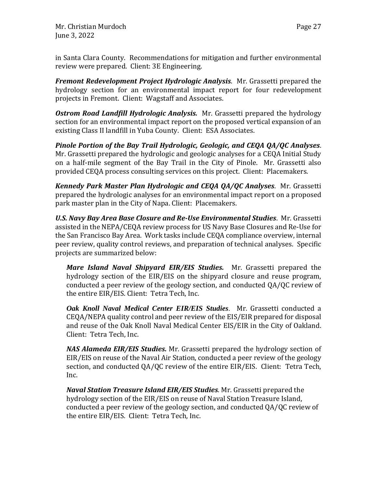in Santa Clara County. Recommendations for mitigation and further environmental review were prepared. Client: 3E Engineering.

*Fremont Redevelopment Project Hydrologic Analysis*. Mr. Grassetti prepared the hydrology section for an environmental impact report for four redevelopment projects in Fremont. Client: Wagstaff and Associates.

*Ostrom Road Landfill Hydrologic Analysis.* Mr. Grassetti prepared the hydrology section for an environmental impact report on the proposed vertical expansion of an existing Class II landfill in Yuba County. Client: ESA Associates.

*Pinole Portion of the Bay Trail Hydrologic, Geologic, and CEQA QA/QC Analyses*. Mr. Grassetti prepared the hydrologic and geologic analyses for a CEQA Initial Study on a half-mile segment of the Bay Trail in the City of Pinole. Mr. Grassetti also provided CEQA process consulting services on this project. Client: Placemakers.

*Kennedy Park Master Plan Hydrologic and CEQA QA/QC Analyses*. Mr. Grassetti prepared the hydrologic analyses for an environmental impact report on a proposed park master plan in the City of Napa. Client: Placemakers.

*U.S. Navy Bay Area Base Closure and Re‐Use Environmental Studies*. Mr. Grassetti assisted in the NEPA/CEQA review process for US Navy Base Closures and Re-Use for the San Francisco Bay Area. Work tasks include CEQA compliance overview, internal peer review, quality control reviews, and preparation of technical analyses. Specific projects are summarized below:

*Mare Island Naval Shipyard EIR/EIS Studies.*  Mr. Grassetti prepared the hydrology section of the EIR/EIS on the shipyard closure and reuse program, conducted a peer review of the geology section, and conducted QA/QC review of the entire EIR/EIS. Client: Tetra Tech, Inc.

*Oak Knoll Naval Medical Center EIR/EIS Studies*. Mr. Grassetti conducted a CEQA/NEPA quality control and peer review of the EIS/EIR prepared for disposal and reuse of the Oak Knoll Naval Medical Center EIS/EIR in the City of Oakland. Client: Tetra Tech, Inc.

*NAS Alameda EIR/EIS Studies.* Mr. Grassetti prepared the hydrology section of EIR/EIS on reuse of the Naval Air Station, conducted a peer review of the geology section, and conducted QA/QC review of the entire EIR/EIS. Client: Tetra Tech, Inc.

*Naval Station Treasure Island EIR/EIS Studies*. Mr. Grassetti prepared the hydrology section of the EIR/EIS on reuse of Naval Station Treasure Island, conducted a peer review of the geology section, and conducted QA/QC review of the entire EIR/EIS. Client: Tetra Tech, Inc.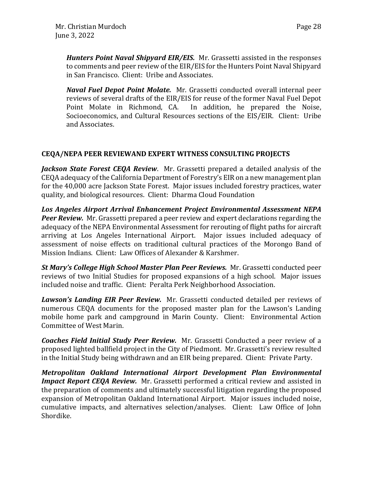*Hunters Point Naval Shipyard EIR/EIS.* Mr. Grassetti assisted in the responses to comments and peer review of the EIR/EIS for the Hunters Point Naval Shipyard in San Francisco. Client: Uribe and Associates.

*Naval Fuel Depot Point Molate.* Mr. Grassetti conducted overall internal peer reviews of several drafts of the EIR/EIS for reuse of the former Naval Fuel Depot Point Molate in Richmond, CA. In addition, he prepared the Noise, Socioeconomics, and Cultural Resources sections of the EIS/EIR. Client: Uribe and Associates.

# **CEQA/NEPA PEER REVIEWAND EXPERT WITNESS CONSULTING PROJECTS**

*Jackson State Forest CEQA Review*. Mr. Grassetti prepared a detailed analysis of the CEQA adequacy of the California Department of Forestry's EIR on a new management plan for the 40,000 acre Jackson State Forest. Major issues included forestry practices, water quality, and biological resources. Client: Dharma Cloud Foundation

*Los Angeles Airport Arrival Enhancement Project Environmental Assessment NEPA Peer Review.* Mr. Grassetti prepared a peer review and expert declarations regarding the adequacy of the NEPA Environmental Assessment for rerouting of flight paths for aircraft arriving at Los Angeles International Airport. Major issues included adequacy of assessment of noise effects on traditional cultural practices of the Morongo Band of Mission Indians. Client: Law Offices of Alexander & Karshmer.

*St Mary's College High School Master Plan Peer Reviews.* Mr. Grassetti conducted peer reviews of two Initial Studies for proposed expansions of a high school. Major issues included noise and traffic. Client: Peralta Perk Neighborhood Association.

*Lawson's Landing EIR Peer Review.* Mr. Grassetti conducted detailed per reviews of numerous CEQA documents for the proposed master plan for the Lawson's Landing mobile home park and campground in Marin County. Client: Environmental Action Committee of West Marin.

*Coaches Field Initial Study Peer Review.* Mr. Grassetti Conducted a peer review of a proposed lighted ballfield project in the City of Piedmont. Mr. Grassetti's review resulted in the Initial Study being withdrawn and an EIR being prepared. Client: Private Party.

*Metropolitan Oakland International Airport Development Plan Environmental Impact Report CEQA Review.* Mr. Grassetti performed a critical review and assisted in the preparation of comments and ultimately successful litigation regarding the proposed expansion of Metropolitan Oakland International Airport. Major issues included noise, cumulative impacts, and alternatives selection/analyses. Client: Law Office of John Shordike.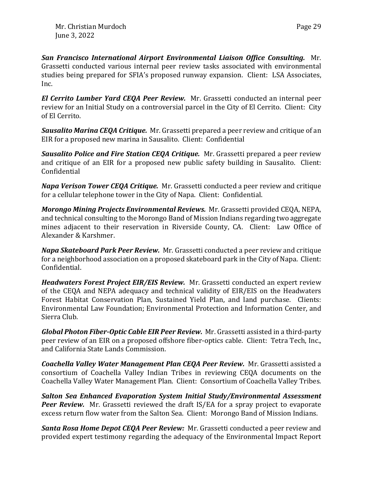*San Francisco International Airport Environmental Liaison Office Consulting.*  Mr. Grassetti conducted various internal peer review tasks associated with environmental studies being prepared for SFIA's proposed runway expansion. Client: LSA Associates, Inc.

*El Cerrito Lumber Yard CEQA Peer Review.* Mr. Grassetti conducted an internal peer review for an Initial Study on a controversial parcel in the City of El Cerrito. Client: City of El Cerrito.

*Sausalito Marina CEQA Critique.* Mr. Grassetti prepared a peer review and critique of an EIR for a proposed new marina in Sausalito. Client: Confidential

*Sausalito Police and Fire Station CEQA Critique.* Mr. Grassetti prepared a peer review and critique of an EIR for a proposed new public safety building in Sausalito. Client: Confidential

*Napa Verison Tower CEQA Critique.* Mr. Grassetti conducted a peer review and critique for a cellular telephone tower in the City of Napa. Client: Confidential.

*Morongo Mining Projects Environmental Reviews.* Mr. Grassetti provided CEQA, NEPA, and technical consulting to the Morongo Band of Mission Indians regarding two aggregate mines adjacent to their reservation in Riverside County, CA. Client: Law Office of Alexander & Karshmer.

*Napa Skateboard Park Peer Review.* Mr. Grassetti conducted a peer review and critique for a neighborhood association on a proposed skateboard park in the City of Napa. Client: Confidential.

*Headwaters Forest Project EIR/EIS Review.* Mr. Grassetti conducted an expert review of the CEQA and NEPA adequacy and technical validity of EIR/EIS on the Headwaters Forest Habitat Conservation Plan, Sustained Yield Plan, and land purchase. Clients: Environmental Law Foundation; Environmental Protection and Information Center, and Sierra Club.

*Global Photon Fiber‐Optic Cable EIR Peer Review.* Mr. Grassetti assisted in a third-party peer review of an EIR on a proposed offshore fiber-optics cable. Client: Tetra Tech, Inc., and California State Lands Commission.

*Coachella Valley Water Management Plan CEQA Peer Review.* Mr. Grassetti assisted a consortium of Coachella Valley Indian Tribes in reviewing CEQA documents on the Coachella Valley Water Management Plan. Client: Consortium of Coachella Valley Tribes.

*Salton Sea Enhanced Evaporation System Initial Study/Environmental Assessment Peer Review.* Mr. Grassetti reviewed the draft IS/EA for a spray project to evaporate excess return flow water from the Salton Sea. Client: Morongo Band of Mission Indians.

*Santa Rosa Home Depot CEQA Peer Review:* Mr. Grassetti conducted a peer review and provided expert testimony regarding the adequacy of the Environmental Impact Report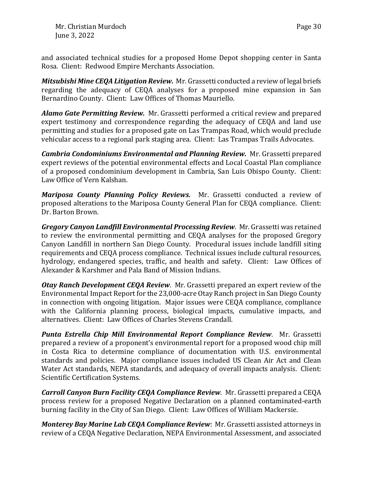and associated technical studies for a proposed Home Depot shopping center in Santa Rosa. Client: Redwood Empire Merchants Association.

*Mitsubishi Mine CEQA Litigation Review.* Mr. Grassetti conducted a review of legal briefs regarding the adequacy of CEQA analyses for a proposed mine expansion in San Bernardino County. Client: Law Offices of Thomas Mauriello.

*Alamo Gate Permitting Review.* Mr. Grassetti performed a critical review and prepared expert testimony and correspondence regarding the adequacy of CEQA and land use permitting and studies for a proposed gate on Las Trampas Road, which would preclude vehicular access to a regional park staging area. Client: Las Trampas Trails Advocates.

*Cambria Condominiums Environmental and Planning Review.* Mr. Grassetti prepared expert reviews of the potential environmental effects and Local Coastal Plan compliance of a proposed condominium development in Cambria, San Luis Obispo County. Client: Law Office of Vern Kalshan.

*Mariposa County Planning Policy Reviews.*  Mr. Grassetti conducted a review of proposed alterations to the Mariposa County General Plan for CEQA compliance. Client: Dr. Barton Brown.

*Gregory Canyon Landfill Environmental Processing Review*. Mr. Grassetti was retained to review the environmental permitting and CEQA analyses for the proposed Gregory Canyon Landfill in northern San Diego County. Procedural issues include landfill siting requirements and CEQA process compliance. Technical issues include cultural resources, hydrology, endangered species, traffic, and health and safety. Client: Law Offices of Alexander & Karshmer and Pala Band of Mission Indians.

*Otay Ranch Development CEQA Review*. Mr. Grassetti prepared an expert review of the Environmental Impact Report for the 23,000-acre Otay Ranch project in San Diego County in connection with ongoing litigation. Major issues were CEQA compliance, compliance with the California planning process, biological impacts, cumulative impacts, and alternatives. Client: Law Offices of Charles Stevens Crandall.

*Punta Estrella Chip Mill Environmental Report Compliance Review*. Mr. Grassetti prepared a review of a proponent's environmental report for a proposed wood chip mill in Costa Rica to determine compliance of documentation with U.S. environmental standards and policies. Major compliance issues included US Clean Air Act and Clean Water Act standards, NEPA standards, and adequacy of overall impacts analysis. Client: Scientific Certification Systems.

*Carroll Canyon Burn Facility CEQA Compliance Review*. Mr. Grassetti prepared a CEQA process review for a proposed Negative Declaration on a planned contaminated-earth burning facility in the City of San Diego. Client: Law Offices of William Mackersie.

*Monterey Bay Marine Lab CEQA Compliance Review*: Mr. Grassetti assisted attorneys in review of a CEQA Negative Declaration, NEPA Environmental Assessment, and associated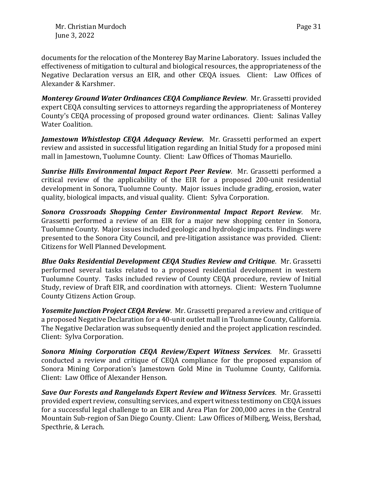Mr. Christian Murdoch **Page 31** June 3, 2022

documents for the relocation of the Monterey Bay Marine Laboratory. Issues included the effectiveness of mitigation to cultural and biological resources, the appropriateness of the Negative Declaration versus an EIR, and other CEQA issues. Client: Law Offices of Alexander & Karshmer.

*Monterey Ground Water Ordinances CEQA Compliance Review*. Mr. Grassetti provided expert CEQA consulting services to attorneys regarding the appropriateness of Monterey County's CEQA processing of proposed ground water ordinances. Client: Salinas Valley Water Coalition.

*Jamestown Whistlestop CEQA Adequacy Review.*  Mr. Grassetti performed an expert review and assisted in successful litigation regarding an Initial Study for a proposed mini mall in Jamestown, Tuolumne County. Client: Law Offices of Thomas Mauriello.

*Sunrise Hills Environmental Impact Report Peer Review*. Mr. Grassetti performed a critical review of the applicability of the EIR for a proposed 200-unit residential development in Sonora, Tuolumne County. Major issues include grading, erosion, water quality, biological impacts, and visual quality. Client: Sylva Corporation.

*Sonora Crossroads Shopping Center Environmental Impact Report Review*. Mr. Grassetti performed a review of an EIR for a major new shopping center in Sonora, Tuolumne County. Major issues included geologic and hydrologic impacts. Findings were presented to the Sonora City Council, and pre-litigation assistance was provided. Client: Citizens for Well Planned Development.

*Blue Oaks Residential Development CEQA Studies Review and Critique*. Mr. Grassetti performed several tasks related to a proposed residential development in western Tuolumne County. Tasks included review of County CEQA procedure, review of Initial Study, review of Draft EIR, and coordination with attorneys. Client: Western Tuolumne County Citizens Action Group.

*Yosemite Junction Project CEQA Review*. Mr. Grassetti prepared a review and critique of a proposed Negative Declaration for a 40-unit outlet mall in Tuolumne County, California. The Negative Declaration was subsequently denied and the project application rescinded. Client: Sylva Corporation.

*Sonora Mining Corporation CEQA Review/Expert Witness Services*. Mr. Grassetti conducted a review and critique of CEQA compliance for the proposed expansion of Sonora Mining Corporation's Jamestown Gold Mine in Tuolumne County, California. Client: Law Office of Alexander Henson.

*Save Our Forests and Rangelands Expert Review and Witness Services*. Mr. Grassetti provided expert review, consulting services, and expert witness testimony on CEQA issues for a successful legal challenge to an EIR and Area Plan for 200,000 acres in the Central Mountain Sub-region of San Diego County. Client: Law Offices of Milberg, Weiss, Bershad, Specthrie, & Lerach.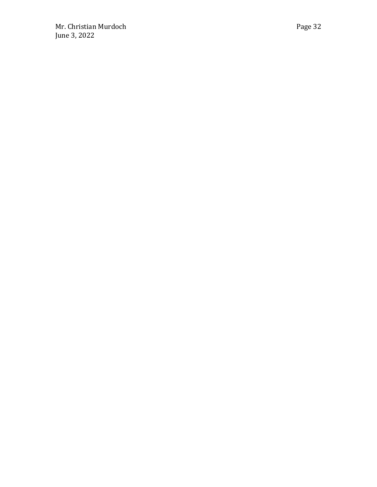Mr. Christian Murdoch **Page 32** June 3, 2022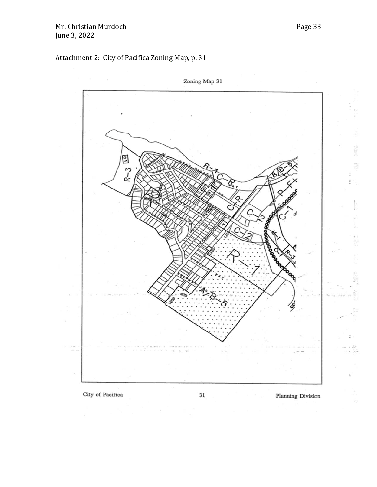

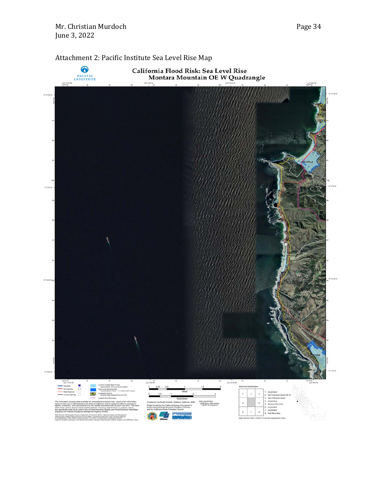PACIFIC<br>INSTITUTE California Flood Risk: Sea Level Rise<br>Montara Mountain OE W Quadrangle 122°37'30  $122^{\circ}3070^{\circ}W$ 

# Attachment 2: Pacific Institute Sea Level Rise Map

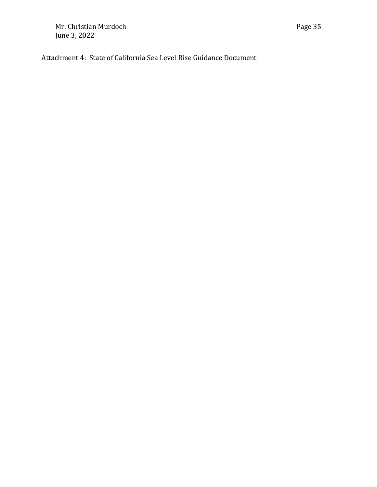Mr. Christian Murdoch **Page 35** June 3, 2022

Attachment 4: State of California Sea Level Rise Guidance Document